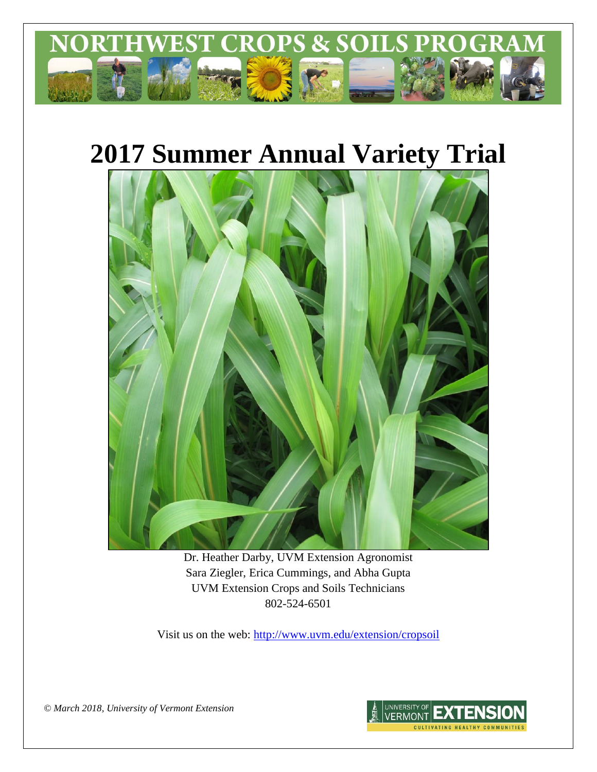

# **2017 Summer Annual Variety Trial**



Dr. Heather Darby, UVM Extension Agronomist Sara Ziegler, Erica Cummings, and Abha Gupta UVM Extension Crops and Soils Technicians 802-524-6501

Visit us on the web: <http://www.uvm.edu/extension/cropsoil>

*© March 2018, University of Vermont Extension*

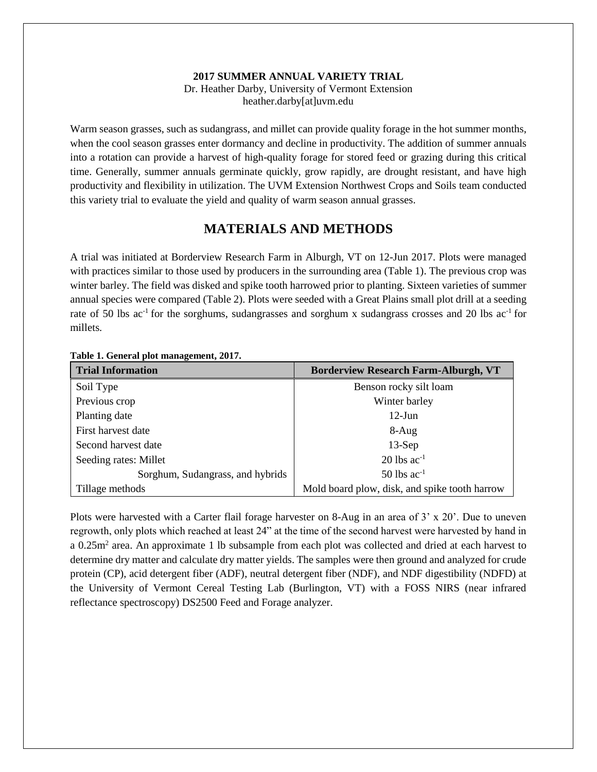#### **2017 SUMMER ANNUAL VARIETY TRIAL**

Dr. Heather Darby, University of Vermont Extension heather.darby[at]uvm.edu

Warm season grasses, such as sudangrass, and millet can provide quality forage in the hot summer months, when the cool season grasses enter dormancy and decline in productivity. The addition of summer annuals into a rotation can provide a harvest of high-quality forage for stored feed or grazing during this critical time. Generally, summer annuals germinate quickly, grow rapidly, are drought resistant, and have high productivity and flexibility in utilization. The UVM Extension Northwest Crops and Soils team conducted this variety trial to evaluate the yield and quality of warm season annual grasses.

## **MATERIALS AND METHODS**

A trial was initiated at Borderview Research Farm in Alburgh, VT on 12-Jun 2017. Plots were managed with practices similar to those used by producers in the surrounding area (Table 1). The previous crop was winter barley. The field was disked and spike tooth harrowed prior to planting. Sixteen varieties of summer annual species were compared (Table 2). Plots were seeded with a Great Plains small plot drill at a seeding rate of 50 lbs  $ac^{-1}$  for the sorghums, sudangrasses and sorghum x sudangrass crosses and 20 lbs  $ac^{-1}$  for millets.

| <b>Trial Information</b>         | <b>Borderview Research Farm-Alburgh, VT</b>   |  |  |  |
|----------------------------------|-----------------------------------------------|--|--|--|
| Soil Type                        | Benson rocky silt loam                        |  |  |  |
| Previous crop                    | Winter barley                                 |  |  |  |
| Planting date                    | $12$ -Jun                                     |  |  |  |
| First harvest date               | $8-Aug$                                       |  |  |  |
| Second harvest date              | $13-Sep$                                      |  |  |  |
| Seeding rates: Millet            | $20$ lbs ac <sup>-1</sup>                     |  |  |  |
| Sorghum, Sudangrass, and hybrids | $50$ lbs ac <sup>-1</sup>                     |  |  |  |
| Tillage methods                  | Mold board plow, disk, and spike tooth harrow |  |  |  |

**Table 1. General plot management, 2017.**

Plots were harvested with a Carter flail forage harvester on 8-Aug in an area of 3' x 20'. Due to uneven regrowth, only plots which reached at least 24" at the time of the second harvest were harvested by hand in a 0.25m<sup>2</sup> area. An approximate 1 lb subsample from each plot was collected and dried at each harvest to determine dry matter and calculate dry matter yields. The samples were then ground and analyzed for crude protein (CP), acid detergent fiber (ADF), neutral detergent fiber (NDF), and NDF digestibility (NDFD) at the University of Vermont Cereal Testing Lab (Burlington, VT) with a FOSS NIRS (near infrared reflectance spectroscopy) DS2500 Feed and Forage analyzer.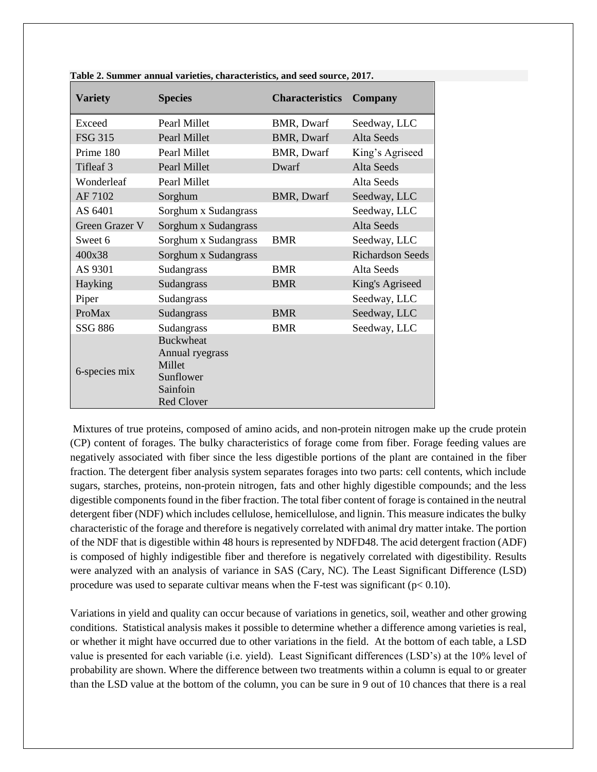| <b>Variety</b> | <b>Species</b>                                                                              | <b>Characteristics</b> | Company                 |  |
|----------------|---------------------------------------------------------------------------------------------|------------------------|-------------------------|--|
| Exceed         | Pearl Millet                                                                                | BMR, Dwarf             | Seedway, LLC            |  |
| <b>FSG 315</b> | <b>Pearl Millet</b>                                                                         | <b>BMR, Dwarf</b>      | Alta Seeds              |  |
| Prime 180      | Pearl Millet                                                                                | BMR, Dwarf             | King's Agriseed         |  |
| Tifleaf 3      | Pearl Millet                                                                                | Dwarf                  | Alta Seeds              |  |
| Wonderleaf     | Pearl Millet                                                                                |                        | Alta Seeds              |  |
| AF 7102        | Sorghum                                                                                     | <b>BMR, Dwarf</b>      | Seedway, LLC            |  |
| AS 6401        | Sorghum x Sudangrass                                                                        | Seedway, LLC           |                         |  |
| Green Grazer V | Sorghum x Sudangrass                                                                        |                        | <b>Alta Seeds</b>       |  |
| Sweet 6        | Sorghum x Sudangrass                                                                        | <b>BMR</b>             | Seedway, LLC            |  |
| 400x38         | Sorghum x Sudangrass                                                                        |                        | <b>Richardson Seeds</b> |  |
| AS 9301        | Sudangrass                                                                                  | <b>BMR</b>             | Alta Seeds              |  |
| Hayking        | Sudangrass                                                                                  | <b>BMR</b>             | King's Agriseed         |  |
| Piper          | Sudangrass                                                                                  |                        | Seedway, LLC            |  |
| ProMax         | Sudangrass                                                                                  | <b>BMR</b>             | Seedway, LLC            |  |
| SSG 886        | Sudangrass                                                                                  | <b>BMR</b>             | Seedway, LLC            |  |
| 6-species mix  | <b>Buckwheat</b><br>Annual ryegrass<br>Millet<br>Sunflower<br>Sainfoin<br><b>Red Clover</b> |                        |                         |  |

**Table 2. Summer annual varieties, characteristics, and seed source, 2017.** 

Mixtures of true proteins, composed of amino acids, and non-protein nitrogen make up the crude protein (CP) content of forages. The bulky characteristics of forage come from fiber. Forage feeding values are negatively associated with fiber since the less digestible portions of the plant are contained in the fiber fraction. The detergent fiber analysis system separates forages into two parts: cell contents, which include sugars, starches, proteins, non-protein nitrogen, fats and other highly digestible compounds; and the less digestible componentsfound in the fiber fraction. The total fiber content of forage is contained in the neutral detergent fiber (NDF) which includes cellulose, hemicellulose, and lignin. This measure indicates the bulky characteristic of the forage and therefore is negatively correlated with animal dry matter intake. The portion of the NDF that is digestible within 48 hours is represented by NDFD48. The acid detergent fraction (ADF) is composed of highly indigestible fiber and therefore is negatively correlated with digestibility. Results were analyzed with an analysis of variance in SAS (Cary, NC). The Least Significant Difference (LSD) procedure was used to separate cultivar means when the F-test was significant ( $p < 0.10$ ).

Variations in yield and quality can occur because of variations in genetics, soil, weather and other growing conditions. Statistical analysis makes it possible to determine whether a difference among varieties is real, or whether it might have occurred due to other variations in the field. At the bottom of each table, a LSD value is presented for each variable (i.e. yield). Least Significant differences (LSD's) at the 10% level of probability are shown. Where the difference between two treatments within a column is equal to or greater than the LSD value at the bottom of the column, you can be sure in 9 out of 10 chances that there is a real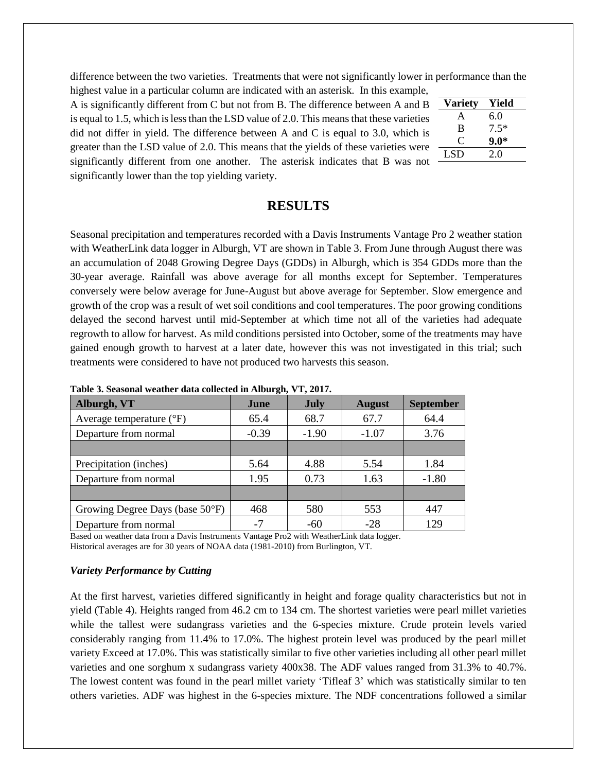difference between the two varieties. Treatments that were not significantly lower in performance than the highest value in a particular column are indicated with an asterisk. In this example,

A is significantly different from C but not from B. The difference between A and B is equal to 1.5, which is less than the LSD value of 2.0. This means that these varieties did not differ in yield. The difference between A and C is equal to 3.0, which is greater than the LSD value of 2.0. This means that the yields of these varieties were significantly different from one another. The asterisk indicates that B was not significantly lower than the top yielding variety.

| <b>Variety</b> | Yield  |
|----------------|--------|
| A              | 6.0    |
| B              | $7.5*$ |
| 0              | $9.0*$ |
| <b>LSD</b>     | 2.0    |

## **RESULTS**

Seasonal precipitation and temperatures recorded with a Davis Instruments Vantage Pro 2 weather station with WeatherLink data logger in Alburgh, VT are shown in Table 3. From June through August there was an accumulation of 2048 Growing Degree Days (GDDs) in Alburgh, which is 354 GDDs more than the 30-year average. Rainfall was above average for all months except for September. Temperatures conversely were below average for June-August but above average for September. Slow emergence and growth of the crop was a result of wet soil conditions and cool temperatures. The poor growing conditions delayed the second harvest until mid-September at which time not all of the varieties had adequate regrowth to allow for harvest. As mild conditions persisted into October, some of the treatments may have gained enough growth to harvest at a later date, however this was not investigated in this trial; such treatments were considered to have not produced two harvests this season.

| Tubic of Deubonul weather wata concetted in Thiburght + 14 #017. |         |             |               |                  |  |  |  |
|------------------------------------------------------------------|---------|-------------|---------------|------------------|--|--|--|
| Alburgh, VT                                                      | June    | <b>July</b> | <b>August</b> | <b>September</b> |  |  |  |
| Average temperature $(^{\circ}F)$                                | 65.4    | 68.7        | 67.7          | 64.4             |  |  |  |
| Departure from normal                                            | $-0.39$ | $-1.90$     | $-1.07$       | 3.76             |  |  |  |
|                                                                  |         |             |               |                  |  |  |  |
| Precipitation (inches)                                           | 5.64    | 4.88        | 5.54          | 1.84             |  |  |  |
| Departure from normal                                            | 1.95    | 0.73        | 1.63          | $-1.80$          |  |  |  |
|                                                                  |         |             |               |                  |  |  |  |
| Growing Degree Days (base 50°F)                                  | 468     | 580         | 553           | 447              |  |  |  |
| Departure from normal                                            | $-7$    | $-60$       | $-28$         | 129              |  |  |  |

**Table 3. Seasonal weather data collected in Alburgh, VT, 2017.**

Based on weather data from a Davis Instruments Vantage Pro2 with WeatherLink data logger. Historical averages are for 30 years of NOAA data (1981-2010) from Burlington, VT.

#### *Variety Performance by Cutting*

At the first harvest, varieties differed significantly in height and forage quality characteristics but not in yield (Table 4). Heights ranged from 46.2 cm to 134 cm. The shortest varieties were pearl millet varieties while the tallest were sudangrass varieties and the 6-species mixture. Crude protein levels varied considerably ranging from 11.4% to 17.0%. The highest protein level was produced by the pearl millet variety Exceed at 17.0%. This was statistically similar to five other varieties including all other pearl millet varieties and one sorghum x sudangrass variety 400x38. The ADF values ranged from 31.3% to 40.7%. The lowest content was found in the pearl millet variety 'Tifleaf 3' which was statistically similar to ten others varieties. ADF was highest in the 6-species mixture. The NDF concentrations followed a similar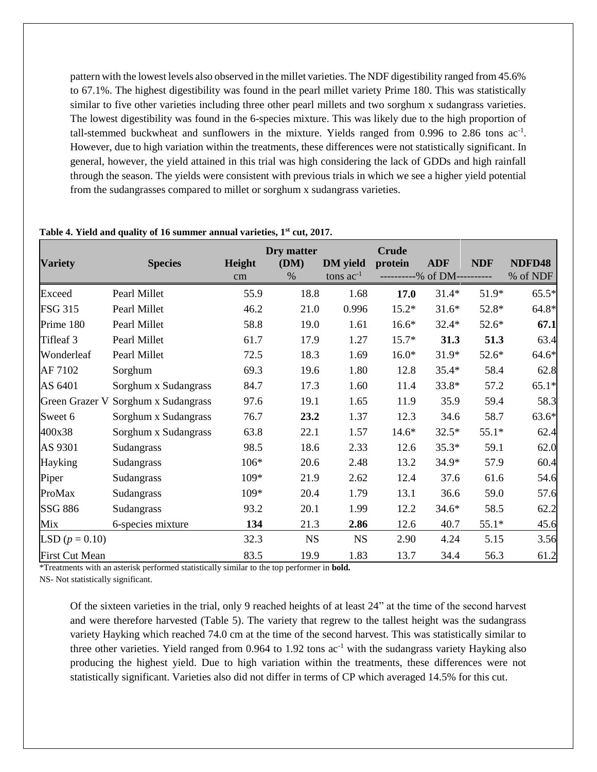pattern with the lowest levels also observed in the millet varieties. The NDF digestibility ranged from 45.6% to 67.1%. The highest digestibility was found in the pearl millet variety Prime 180. This was statistically similar to five other varieties including three other pearl millets and two sorghum x sudangrass varieties. The lowest digestibility was found in the 6-species mixture. This was likely due to the high proportion of tall-stemmed buckwheat and sunflowers in the mixture. Yields ranged from  $0.996$  to  $2.86$  tons ac<sup>-1</sup>. However, due to high variation within the treatments, these differences were not statistically significant. In general, however, the yield attained in this trial was high considering the lack of GDDs and high rainfall through the season. The yields were consistent with previous trials in which we see a higher yield potential from the sudangrasses compared to millet or sorghum x sudangrass varieties.

| <b>Variety</b>        | <b>Species</b>       | Height | Dry matter<br>(DM) | <b>DM</b> yield | <b>Crude</b><br>protein | <b>ADF</b> | <b>NDF</b> | NDFD48   |
|-----------------------|----------------------|--------|--------------------|-----------------|-------------------------|------------|------------|----------|
|                       |                      | cm     | $\%$               | tons $ac^{-1}$  |                         | -% of DM-- |            | % of NDF |
| Exceed                | Pearl Millet         | 55.9   | 18.8               | 1.68            | 17.0                    | $31.4*$    | 51.9*      | $65.5*$  |
| <b>FSG 315</b>        | Pearl Millet         | 46.2   | 21.0               | 0.996           | $15.2*$                 | $31.6*$    | 52.8*      | $64.8*$  |
| Prime 180             | Pearl Millet         | 58.8   | 19.0               | 1.61            | $16.6*$                 | $32.4*$    | $52.6*$    | 67.1     |
| Tifleaf 3             | Pearl Millet         | 61.7   | 17.9               | 1.27            | 15.7*                   | 31.3       | 51.3       | 63.4     |
| Wonderleaf            | Pearl Millet         | 72.5   | 18.3               | 1.69            | $16.0*$                 | 31.9*      | 52.6*      | $64.6*$  |
| AF 7102               | Sorghum              | 69.3   | 19.6               | 1.80            | 12.8                    | $35.4*$    | 58.4       | 62.8     |
| AS 6401               | Sorghum x Sudangrass | 84.7   | 17.3               | 1.60            | 11.4                    | 33.8*      | 57.2       | $65.1*$  |
| Green Grazer V        | Sorghum x Sudangrass | 97.6   | 19.1               | 1.65            | 11.9                    | 35.9       | 59.4       | 58.3     |
| Sweet 6               | Sorghum x Sudangrass | 76.7   | 23.2               | 1.37            | 12.3                    | 34.6       | 58.7       | $63.6*$  |
| 400x38                | Sorghum x Sudangrass | 63.8   | 22.1               | 1.57            | $14.6*$                 | $32.5*$    | $55.1*$    | 62.4     |
| AS 9301               | Sudangrass           | 98.5   | 18.6               | 2.33            | 12.6                    | $35.3*$    | 59.1       | 62.0     |
| Hayking               | Sudangrass           | 106*   | 20.6               | 2.48            | 13.2                    | 34.9*      | 57.9       | 60.4     |
| Piper                 | Sudangrass           | 109*   | 21.9               | 2.62            | 12.4                    | 37.6       | 61.6       | 54.6     |
| ProMax                | Sudangrass           | 109*   | 20.4               | 1.79            | 13.1                    | 36.6       | 59.0       | 57.6     |
| <b>SSG 886</b>        | Sudangrass           | 93.2   | 20.1               | 1.99            | 12.2                    | $34.6*$    | 58.5       | 62.2     |
| Mix                   | 6-species mixture    | 134    | 21.3               | 2.86            | 12.6                    | 40.7       | $55.1*$    | 45.6     |
| LSD $(p = 0.10)$      |                      | 32.3   | <b>NS</b>          | <b>NS</b>       | 2.90                    | 4.24       | 5.15       | 3.56     |
| <b>First Cut Mean</b> |                      | 83.5   | 19.9               | 1.83            | 13.7                    | 34.4       | 56.3       | 61.2     |

#### **Table 4. Yield and quality of 16 summer annual varieties, 1st cut, 2017.**

\*Treatments with an asterisk performed statistically similar to the top performer in **bold.**

NS- Not statistically significant.

Of the sixteen varieties in the trial, only 9 reached heights of at least 24" at the time of the second harvest and were therefore harvested (Table 5). The variety that regrew to the tallest height was the sudangrass variety Hayking which reached 74.0 cm at the time of the second harvest. This was statistically similar to three other varieties. Yield ranged from  $0.964$  to  $1.92$  tons ac<sup>-1</sup> with the sudangrass variety Hayking also producing the highest yield. Due to high variation within the treatments, these differences were not statistically significant. Varieties also did not differ in terms of CP which averaged 14.5% for this cut.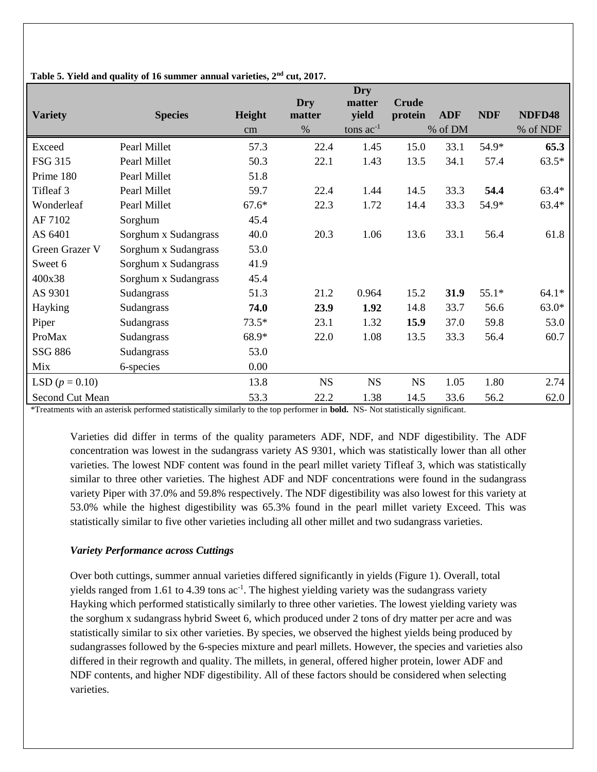|                  |                      |         | Dry       | <b>Dry</b><br>matter | <b>Crude</b> |            |            |          |
|------------------|----------------------|---------|-----------|----------------------|--------------|------------|------------|----------|
| <b>Variety</b>   | <b>Species</b>       | Height  | matter    | yield                | protein      | <b>ADF</b> | <b>NDF</b> | NDFD48   |
|                  |                      | cm      | %         | tons $ac^{-1}$       |              | % of DM    |            | % of NDF |
| Exceed           | Pearl Millet         | 57.3    | 22.4      | 1.45                 | 15.0         | 33.1       | 54.9*      | 65.3     |
| <b>FSG 315</b>   | Pearl Millet         | 50.3    | 22.1      | 1.43                 | 13.5         | 34.1       | 57.4       | $63.5*$  |
| Prime 180        | Pearl Millet         | 51.8    |           |                      |              |            |            |          |
| Tifleaf 3        | Pearl Millet         | 59.7    | 22.4      | 1.44                 | 14.5         | 33.3       | 54.4       | $63.4*$  |
| Wonderleaf       | Pearl Millet         | $67.6*$ | 22.3      | 1.72                 | 14.4         | 33.3       | 54.9*      | 63.4*    |
| AF 7102          | Sorghum              | 45.4    |           |                      |              |            |            |          |
| AS 6401          | Sorghum x Sudangrass | 40.0    | 20.3      | 1.06                 | 13.6         | 33.1       | 56.4       | 61.8     |
| Green Grazer V   | Sorghum x Sudangrass | 53.0    |           |                      |              |            |            |          |
| Sweet 6          | Sorghum x Sudangrass | 41.9    |           |                      |              |            |            |          |
| 400x38           | Sorghum x Sudangrass | 45.4    |           |                      |              |            |            |          |
| AS 9301          | Sudangrass           | 51.3    | 21.2      | 0.964                | 15.2         | 31.9       | $55.1*$    | $64.1*$  |
| Hayking          | Sudangrass           | 74.0    | 23.9      | 1.92                 | 14.8         | 33.7       | 56.6       | $63.0*$  |
| Piper            | Sudangrass           | $73.5*$ | 23.1      | 1.32                 | 15.9         | 37.0       | 59.8       | 53.0     |
| ProMax           | Sudangrass           | 68.9*   | 22.0      | 1.08                 | 13.5         | 33.3       | 56.4       | 60.7     |
| SSG 886          | Sudangrass           | 53.0    |           |                      |              |            |            |          |
| Mix              | 6-species            | 0.00    |           |                      |              |            |            |          |
| LSD $(p = 0.10)$ |                      | 13.8    | <b>NS</b> | <b>NS</b>            | <b>NS</b>    | 1.05       | 1.80       | 2.74     |
| Second Cut Mean  |                      | 53.3    | 22.2      | 1.38                 | 14.5         | 33.6       | 56.2       | 62.0     |

**Table 5. Yield and quality of 16 summer annual varieties, 2nd cut, 2017.**

\*Treatments with an asterisk performed statistically similarly to the top performer in **bold.** NS- Not statistically significant.

Varieties did differ in terms of the quality parameters ADF, NDF, and NDF digestibility. The ADF concentration was lowest in the sudangrass variety AS 9301, which was statistically lower than all other varieties. The lowest NDF content was found in the pearl millet variety Tifleaf 3, which was statistically similar to three other varieties. The highest ADF and NDF concentrations were found in the sudangrass variety Piper with 37.0% and 59.8% respectively. The NDF digestibility was also lowest for this variety at 53.0% while the highest digestibility was 65.3% found in the pearl millet variety Exceed. This was statistically similar to five other varieties including all other millet and two sudangrass varieties.

### *Variety Performance across Cuttings*

Over both cuttings, summer annual varieties differed significantly in yields (Figure 1). Overall, total yields ranged from 1.61 to 4.39 tons  $ac^{-1}$ . The highest yielding variety was the sudangrass variety Hayking which performed statistically similarly to three other varieties. The lowest yielding variety was the sorghum x sudangrass hybrid Sweet 6, which produced under 2 tons of dry matter per acre and was statistically similar to six other varieties. By species, we observed the highest yields being produced by sudangrasses followed by the 6-species mixture and pearl millets. However, the species and varieties also differed in their regrowth and quality. The millets, in general, offered higher protein, lower ADF and NDF contents, and higher NDF digestibility. All of these factors should be considered when selecting varieties.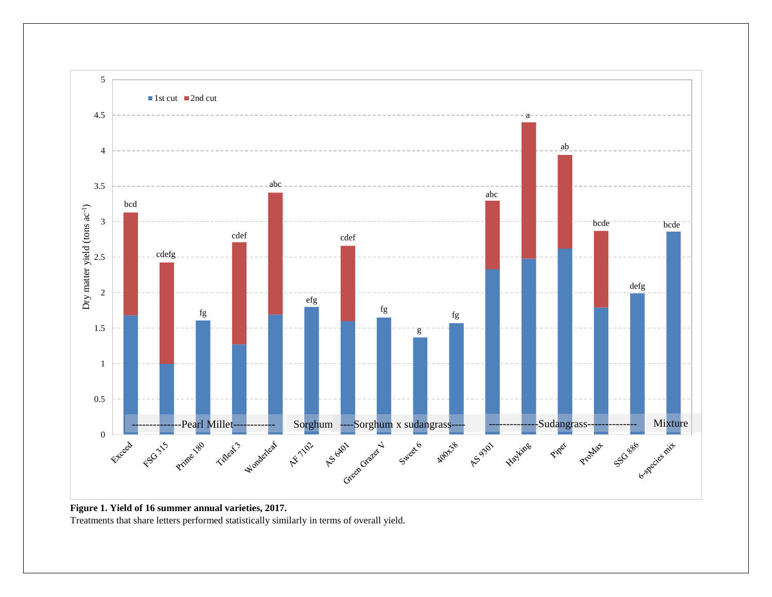

**Figure 1. Yield of 16 summer annual varieties, 2017.** Treatments that share letters performed statistically similarly in terms of overall yield.